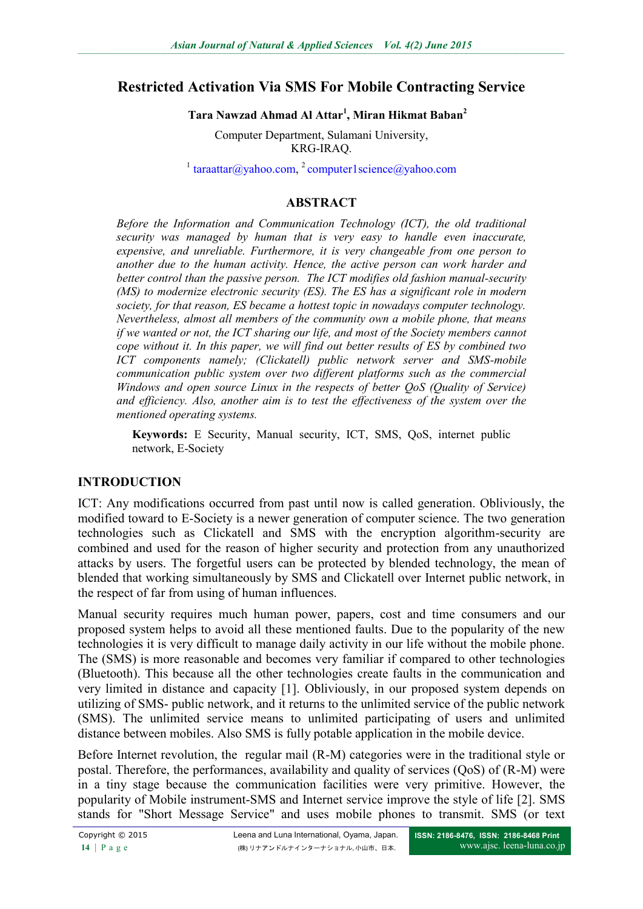# **Restricted Activation Via SMS For Mobile Contracting Service**

### **Tara Nawzad Ahmad Al Attar<sup>1</sup> , Miran Hikmat Baban<sup>2</sup>**

Computer Department, Sulamani University, KRG-IRAQ.

<sup>1</sup> [taraattar@yahoo.com,](mailto:taraattar@yahoo.com) <sup>2</sup> [computer1science@yahoo.com](mailto:computer1science@yahoo.com)

### **ABSTRACT**

*Before the Information and Communication Technology (ICT), the old traditional security was managed by human that is very easy to handle even inaccurate, expensive, and unreliable. Furthermore, it is very changeable from one person to another due to the human activity. Hence, the active person can work harder and better control than the passive person. The ICT modifies old fashion manual-security (MS) to modernize electronic security (ES). The ES has a significant role in modern society, for that reason, ES became a hottest topic in nowadays computer technology. Nevertheless, almost all members of the community own a mobile phone, that means if we wanted or not, the ICT sharing our life, and most of the Society members cannot cope without it. In this paper, we will find out better results of ES by combined two ICT components namely; (Clickatell) public network server and SMS-mobile communication public system over two different platforms such as the commercial Windows and open source Linux in the respects of better QoS (Quality of Service) and efficiency. Also, another aim is to test the effectiveness of the system over the mentioned operating systems.*

**Keywords:** E Security, Manual security, ICT, SMS, QoS, internet public network, E-Society

## **INTRODUCTION**

ICT: Any modifications occurred from past until now is called generation. Obliviously, the modified toward to E-Society is a newer generation of computer science. The two generation technologies such as Clickatell and SMS with the encryption algorithm-security are combined and used for the reason of higher security and protection from any unauthorized attacks by users. The forgetful users can be protected by blended technology, the mean of blended that working simultaneously by SMS and Clickatell over Internet public network, in the respect of far from using of human influences.

Manual security requires much human power, papers, cost and time consumers and our proposed system helps to avoid all these mentioned faults. Due to the popularity of the new technologies it is very difficult to manage daily activity in our life without the mobile phone. The (SMS) is more reasonable and becomes very familiar if compared to other technologies (Bluetooth). This because all the other technologies create faults in the communication and very limited in distance and capacity [1]. Obliviously, in our proposed system depends on utilizing of SMS- public network, and it returns to the unlimited service of the public network (SMS). The unlimited service means to unlimited participating of users and unlimited distance between mobiles. Also SMS is fully potable application in the mobile device.

Before Internet revolution, the regular mail (R-M) categories were in the traditional style or postal. Therefore, the performances, availability and quality of services (QoS) of (R-M) were in a tiny stage because the communication facilities were very primitive. However, the popularity of Mobile instrument-SMS and Internet service improve the style of life [2]. SMS stands for "Short Message Service" and uses mobile phones to transmit. SMS (or text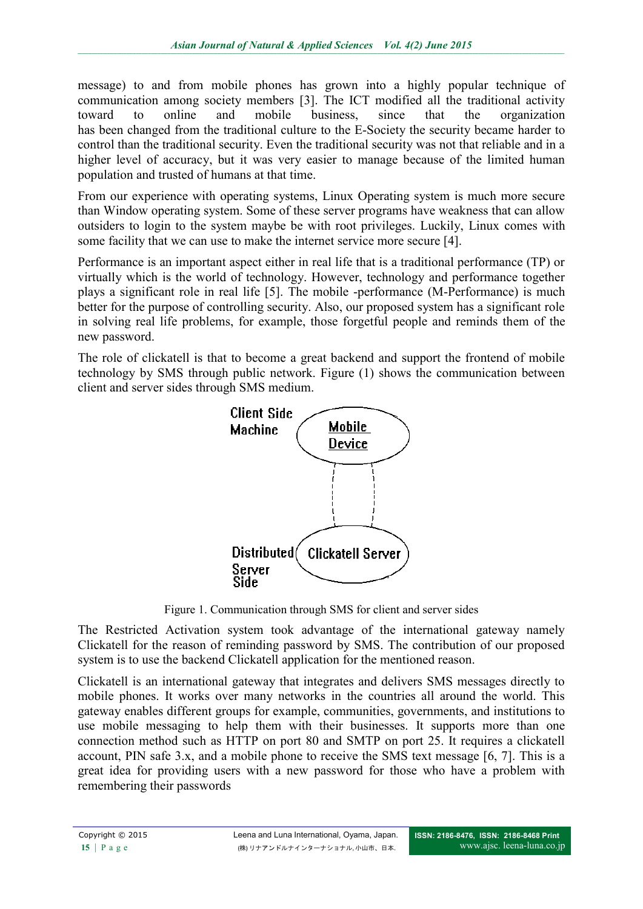message) to and from mobile phones has grown into a highly popular technique of communication among society members [3]. The ICT modified all the traditional activity toward to online and mobile business, since that the organization has been changed from the traditional culture to the E-Society the security became harder to control than the traditional security. Even the traditional security was not that reliable and in a higher level of accuracy, but it was very easier to manage because of the limited human population and trusted of humans at that time.

From our experience with operating systems, Linux Operating system is much more secure than Window operating system. Some of these server programs have weakness that can allow outsiders to login to the system maybe be with root privileges. Luckily, Linux comes with some facility that we can use to make the internet service more secure [4].

Performance is an important aspect either in real life that is a traditional performance (TP) or virtually which is the world of technology. However, technology and performance together plays a significant role in real life [5]. The mobile -performance (M-Performance) is much better for the purpose of controlling security. Also, our proposed system has a significant role in solving real life problems, for example, those forgetful people and reminds them of the new password.

The role of clickatell is that to become a great backend and support the frontend of mobile technology by SMS through public network. Figure (1) shows the communication between client and server sides through SMS medium.



Figure 1. Communication through SMS for client and server sides

The Restricted Activation system took advantage of the international gateway namely Clickatell for the reason of reminding password by SMS. The contribution of our proposed system is to use the backend Clickatell application for the mentioned reason.

Clickatell is an international gateway that integrates and delivers SMS messages directly to mobile phones. It works over many networks in the countries all around the world. This gateway enables different groups for example, communities, governments, and institutions to use mobile messaging to help them with their businesses. It supports more than one connection method such as HTTP on port 80 and SMTP on port 25. It requires a clickatell account, PIN safe 3.x, and a mobile phone to receive the SMS text message [6, 7]. This is a great idea for providing users with a new password for those who have a problem with remembering their passwords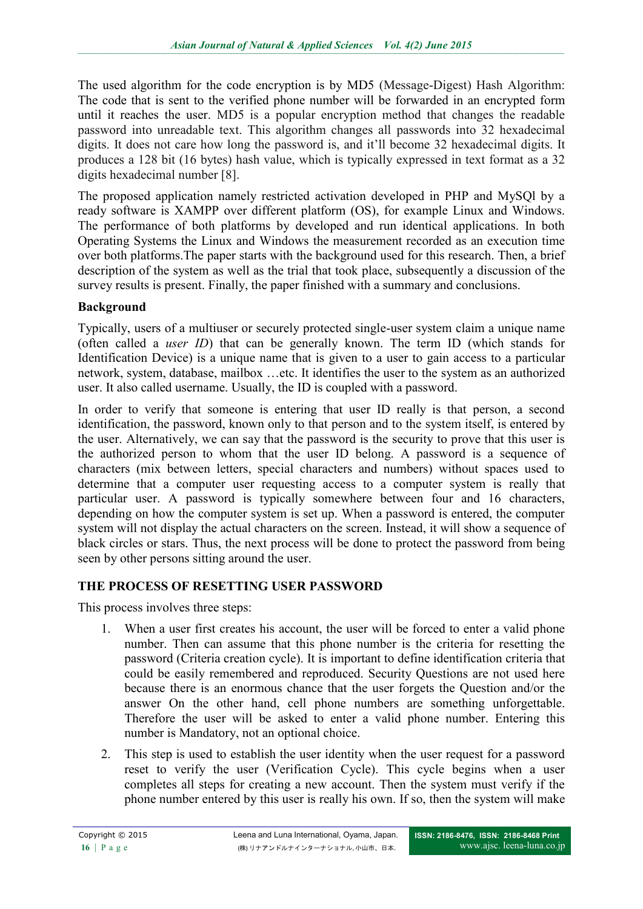The used algorithm for the code encryption is by MD5 (Message-Digest) Hash Algorithm: The code that is sent to the verified phone number will be forwarded in an encrypted form until it reaches the user. MD5 is a popular encryption method that changes the readable password into unreadable text. This algorithm changes all passwords into 32 hexadecimal digits. It does not care how long the password is, and it'll become 32 hexadecimal digits. It produces a 128 bit (16 bytes) hash value, which is typically expressed in text format as a 32 digits hexadecimal number [8].

The proposed application namely restricted activation developed in PHP and MySQl by a ready software is XAMPP over different platform (OS), for example Linux and Windows. The performance of both platforms by developed and run identical applications. In both Operating Systems the Linux and Windows the measurement recorded as an execution time over both platforms.The paper starts with the background used for this research. Then, a brief description of the system as well as the trial that took place, subsequently a discussion of the survey results is present. Finally, the paper finished with a summary and conclusions.

# **Background**

Typically, users of a multiuser or securely protected single-user system claim a unique name (often called a *user ID*) that can be generally known. The term ID (which stands for Identification Device) is a unique name that is given to a user to gain access to a particular network, system, database, mailbox …etc. It identifies the user to the system as an authorized user. It also called username. Usually, the ID is coupled with a password.

In order to verify that someone is entering that user ID really is that person, a second identification, the password, known only to that person and to the system itself, is entered by the user. Alternatively, we can say that the password is the security to prove that this user is the authorized person to whom that the user ID belong. A password is a sequence of characters (mix between letters, special characters and numbers) without spaces used to determine that a computer user requesting access to a computer system is really that particular user. A password is typically somewhere between four and 16 characters, depending on how the computer system is set up. When a password is entered, the computer system will not display the actual characters on the screen. Instead, it will show a sequence of black circles or stars. Thus, the next process will be done to protect the password from being seen by other persons sitting around the user.

# **THE PROCESS OF RESETTING USER PASSWORD**

This process involves three steps:

- 1. When a user first creates his account, the user will be forced to enter a valid phone number. Then can assume that this phone number is the criteria for resetting the password (Criteria creation cycle). It is important to define identification criteria that could be easily remembered and reproduced. Security Questions are not used here because there is an enormous chance that the user forgets the Question and/or the answer On the other hand, cell phone numbers are something unforgettable. Therefore the user will be asked to enter a valid phone number. Entering this number is Mandatory, not an optional choice.
- 2. This step is used to establish the user identity when the user request for a password reset to verify the user (Verification Cycle). This cycle begins when a user completes all steps for creating a new account. Then the system must verify if the phone number entered by this user is really his own. If so, then the system will make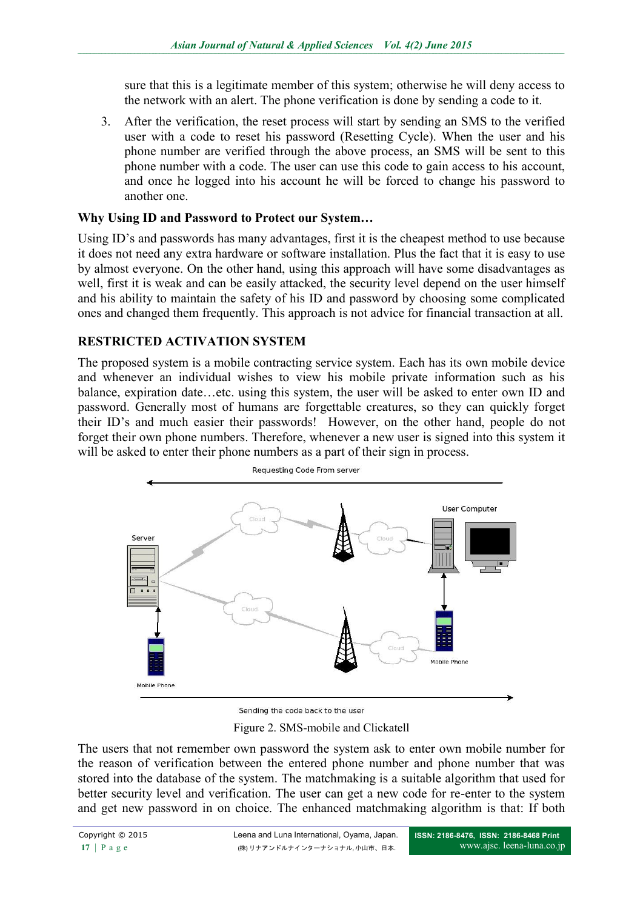sure that this is a legitimate member of this system; otherwise he will deny access to the network with an alert. The phone verification is done by sending a code to it.

3. After the verification, the reset process will start by sending an SMS to the verified user with a code to reset his password (Resetting Cycle). When the user and his phone number are verified through the above process, an SMS will be sent to this phone number with a code. The user can use this code to gain access to his account, and once he logged into his account he will be forced to change his password to another one.

## **Why Using ID and Password to Protect our System…**

Using ID's and passwords has many advantages, first it is the cheapest method to use because it does not need any extra hardware or software installation. Plus the fact that it is easy to use by almost everyone. On the other hand, using this approach will have some disadvantages as well, first it is weak and can be easily attacked, the security level depend on the user himself and his ability to maintain the safety of his ID and password by choosing some complicated ones and changed them frequently. This approach is not advice for financial transaction at all.

# **RESTRICTED ACTIVATION SYSTEM**

The proposed system is a mobile contracting service system. Each has its own mobile device and whenever an individual wishes to view his mobile private information such as his balance, expiration date…etc. using this system, the user will be asked to enter own ID and password. Generally most of humans are forgettable creatures, so they can quickly forget their ID's and much easier their passwords! However, on the other hand, people do not forget their own phone numbers. Therefore, whenever a new user is signed into this system it will be asked to enter their phone numbers as a part of their sign in process.



Sending the code back to the user

Figure 2. SMS-mobile and Clickatell

The users that not remember own password the system ask to enter own mobile number for the reason of verification between the entered phone number and phone number that was stored into the database of the system. The matchmaking is a suitable algorithm that used for better security level and verification. The user can get a new code for re-enter to the system and get new password in on choice. The enhanced matchmaking algorithm is that: If both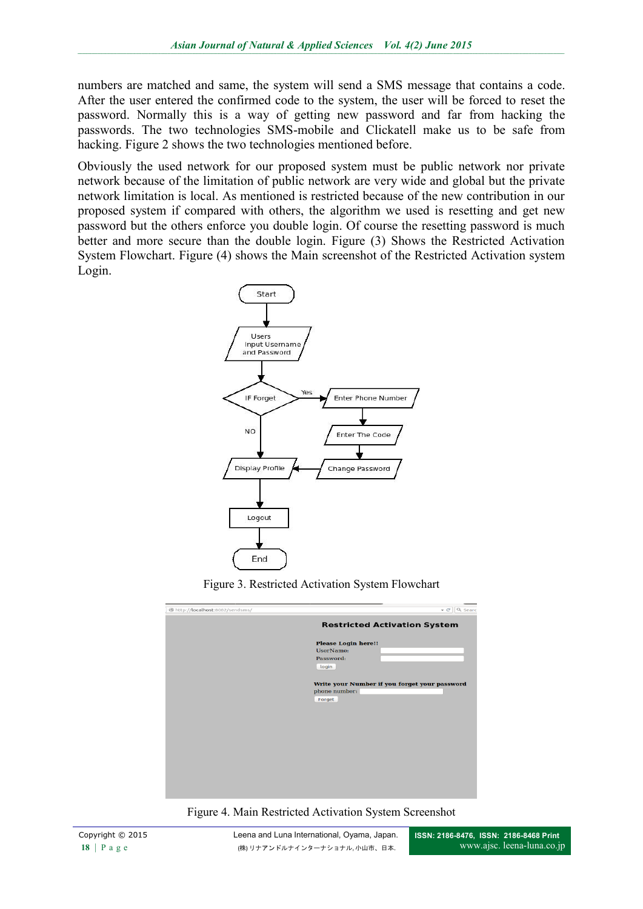numbers are matched and same, the system will send a SMS message that contains a code. After the user entered the confirmed code to the system, the user will be forced to reset the password. Normally this is a way of getting new password and far from hacking the passwords. The two technologies SMS-mobile and Clickatell make us to be safe from hacking. Figure 2 shows the two technologies mentioned before.

Obviously the used network for our proposed system must be public network nor private network because of the limitation of public network are very wide and global but the private network limitation is local. As mentioned is restricted because of the new contribution in our proposed system if compared with others, the algorithm we used is resetting and get new password but the others enforce you double login. Of course the resetting password is much better and more secure than the double login. Figure (3) Shows the Restricted Activation System Flowchart. Figure (4) shows the Main screenshot of the Restricted Activation system Login.





| http://localhost:8082/sendsms/ | $\vee$ C' Q Searc                                                        |
|--------------------------------|--------------------------------------------------------------------------|
|                                | <b>Restricted Activation System</b>                                      |
|                                | <b>Please Login here!!</b><br>UserName:<br>Password:<br>login            |
|                                | Write your Number if you forget your password<br>phone number:<br>Forget |
|                                |                                                                          |
|                                |                                                                          |

Figure 4. Main Restricted Activation System Screenshot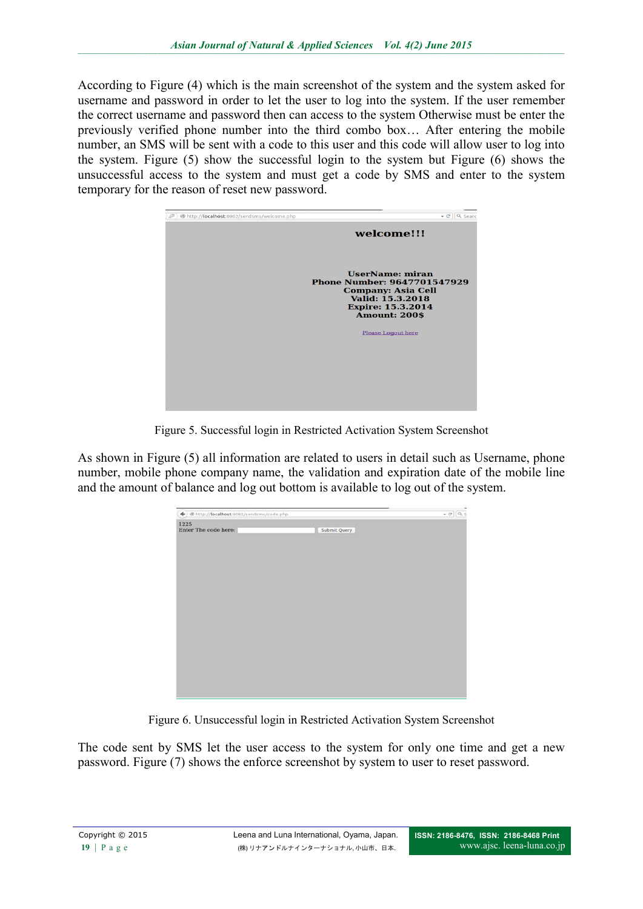According to Figure (4) which is the main screenshot of the system and the system asked for username and password in order to let the user to log into the system. If the user remember the correct username and password then can access to the system Otherwise must be enter the previously verified phone number into the third combo box… After entering the mobile number, an SMS will be sent with a code to this user and this code will allow user to log into the system. Figure (5) show the successful login to the system but Figure (6) shows the unsuccessful access to the system and must get a code by SMS and enter to the system temporary for the reason of reset new password.



Figure 5. Successful login in Restricted Activation System Screenshot

As shown in Figure (5) all information are related to users in detail such as Username, phone number, mobile phone company name, the validation and expiration date of the mobile line and the amount of balance and log out bottom is available to log out of the system.

| ◆ ) @ http:// <b>localhost</b> :8082/sendsms/code.php |              | $\ast$ C' $\boxed{Q, S}$ |
|-------------------------------------------------------|--------------|--------------------------|
| 1225<br>Enter The code here:                          | Submit Query |                          |
|                                                       |              |                          |
|                                                       |              |                          |
|                                                       |              |                          |
|                                                       |              |                          |
|                                                       |              |                          |
|                                                       |              |                          |
|                                                       |              |                          |
|                                                       |              |                          |

Figure 6. Unsuccessful login in Restricted Activation System Screenshot

The code sent by SMS let the user access to the system for only one time and get a new password. Figure (7) shows the enforce screenshot by system to user to reset password.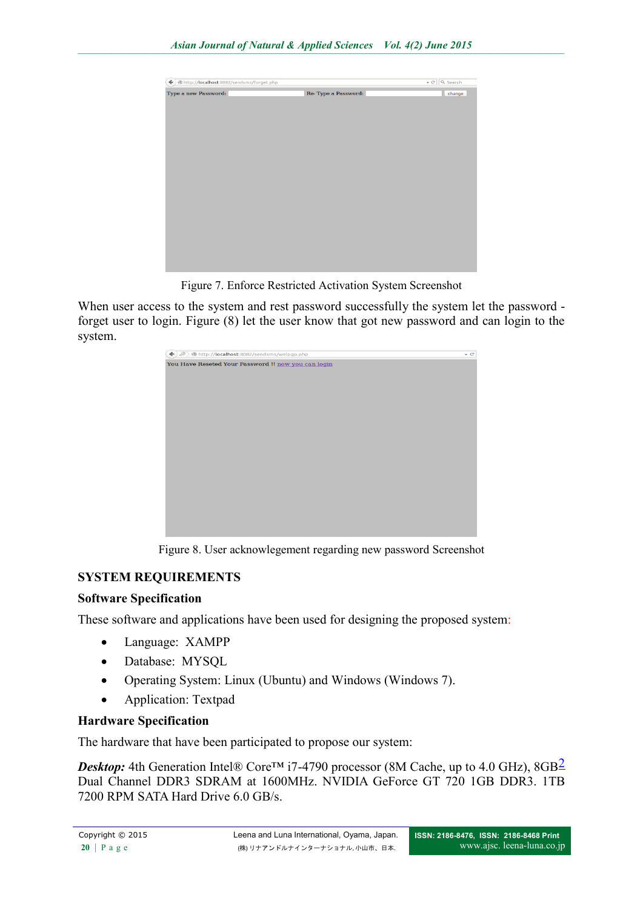

Figure 7. Enforce Restricted Activation System Screenshot

When user access to the system and rest password successfully the system let the password forget user to login. Figure (8) let the user know that got new password and can login to the system.



Figure 8. User acknowlegement regarding new password Screenshot

# **SYSTEM REQUIREMENTS**

### **Software Specification**

These software and applications have been used for designing the proposed system:

- Language: XAMPP
- Database: MYSQL
- Operating System: Linux (Ubuntu) and Windows (Windows 7).
- Application: Textpad

# **Hardware Specification**

The hardware that have been participated to propose our system:

*Desktop*: 4th Generation Intel® Core<sup>™</sup> i7-4790 processor (8M Cache, up to 4.0 GHz), 8GB<sup>2</sup> Dual Channel DDR3 SDRAM at 1600MHz. NVIDIA GeForce GT 720 1GB DDR3. 1TB 7200 RPM SATA Hard Drive 6.0 GB/s.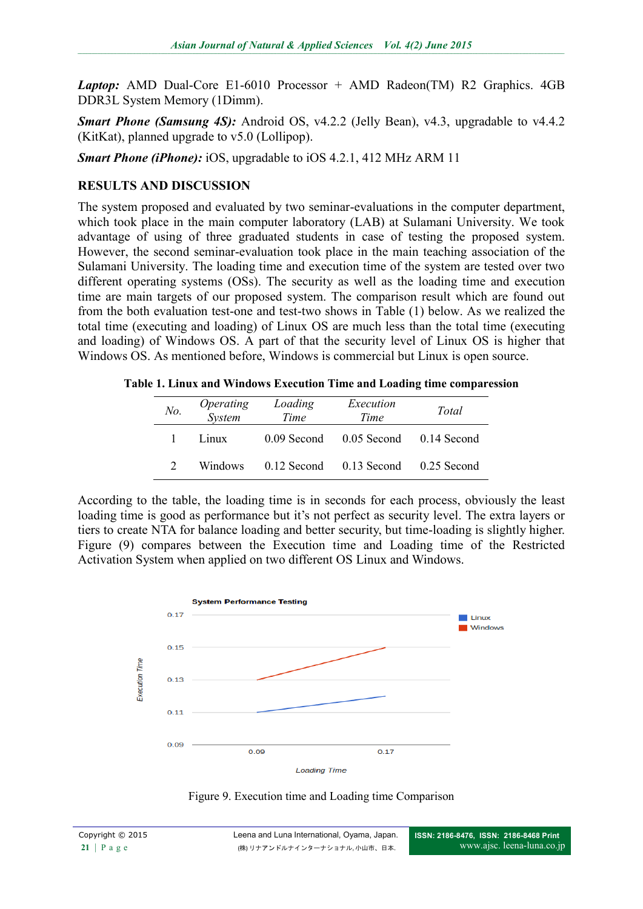*Laptop:* AMD Dual-Core E1-6010 Processor + AMD Radeon(TM) R2 Graphics. 4GB DDR3L System Memory (1Dimm).

*Smart Phone (Samsung 4S):* Android OS, v4.2.2 (Jelly Bean), v4.3, upgradable to v4.4.2 (KitKat), planned upgrade to v5.0 (Lollipop).

*Smart Phone (iPhone):* iOS, upgradable to iOS 4.2.1, 412 MHz ARM 11

## **RESULTS AND DISCUSSION**

The system proposed and evaluated by two seminar-evaluations in the computer department, which took place in the main computer laboratory (LAB) at Sulamani University. We took advantage of using of three graduated students in case of testing the proposed system. However, the second seminar-evaluation took place in the main teaching association of the Sulamani University. The loading time and execution time of the system are tested over two different operating systems (OSs). The security as well as the loading time and execution time are main targets of our proposed system. The comparison result which are found out from the both evaluation test-one and test-two shows in Table (1) below. As we realized the total time (executing and loading) of Linux OS are much less than the total time (executing and loading) of Windows OS. A part of that the security level of Linux OS is higher that Windows OS. As mentioned before, Windows is commercial but Linux is open source.

**Table 1. Linux and Windows Execution Time and Loading time comparession**

| No. | Operating<br>System | Loading<br>Time | Execution<br>Time                   | Total |
|-----|---------------------|-----------------|-------------------------------------|-------|
|     | Linux               |                 | 0.09 Second 0.05 Second 0.14 Second |       |
|     | <b>Windows</b>      |                 | 0.12 Second 0.13 Second 0.25 Second |       |

According to the table, the loading time is in seconds for each process, obviously the least loading time is good as performance but it's not perfect as security level. The extra layers or tiers to create NTA for balance loading and better security, but time-loading is slightly higher. Figure (9) compares between the Execution time and Loading time of the Restricted Activation System when applied on two different OS Linux and Windows.



Figure 9. Execution time and Loading time Comparison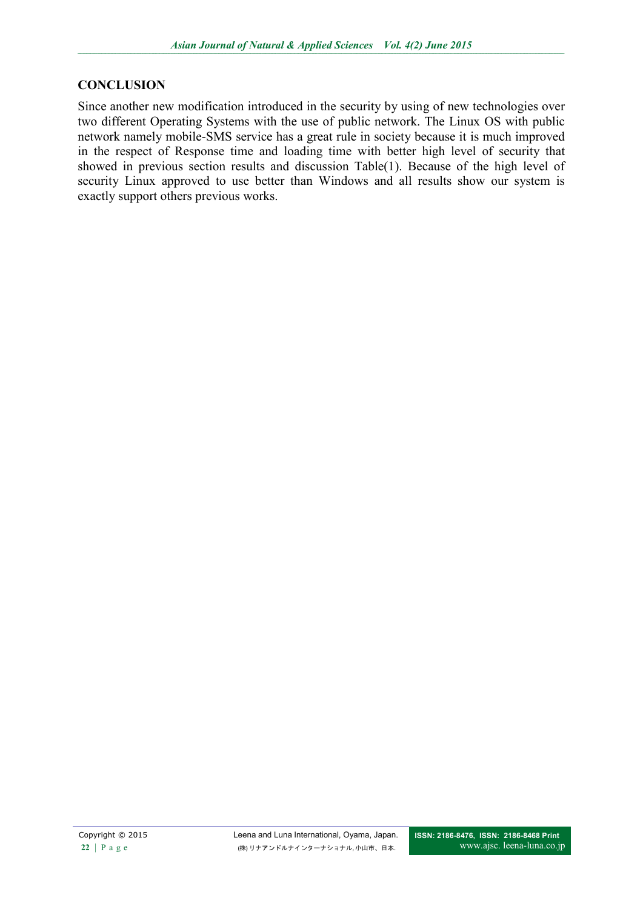## **CONCLUSION**

Since another new modification introduced in the security by using of new technologies over two different Operating Systems with the use of public network. The Linux OS with public network namely mobile-SMS service has a great rule in society because it is much improved in the respect of Response time and loading time with better high level of security that showed in previous section results and discussion Table(1). Because of the high level of security Linux approved to use better than Windows and all results show our system is exactly support others previous works.